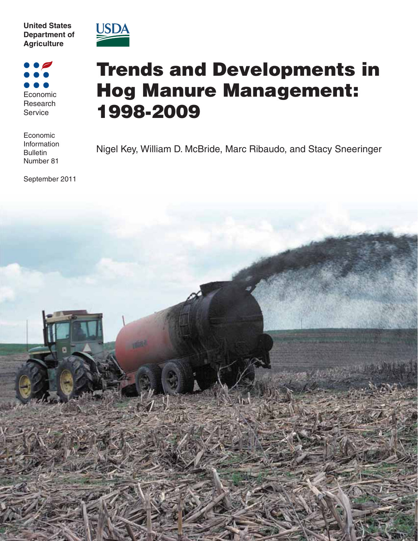



Economic Research Service

Economic Information **Bulletin** Number 81

September 2011

# **Trends and Developments in Hog Manure Management: 1998-2009**

Nigel Key, William D. McBride, Marc Ribaudo, and Stacy Sneeringer

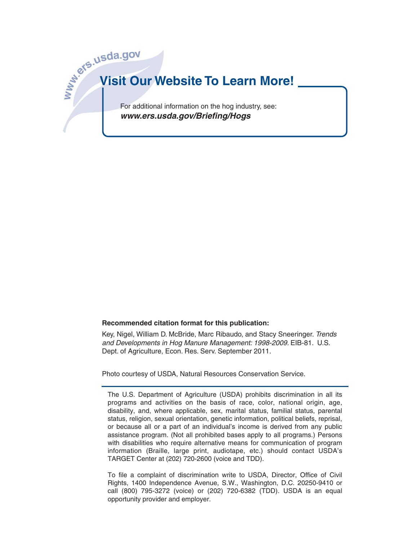

#### **Recommended citation format for this publication:**

Key, Nigel, William D. McBride, Marc Ribaudo, and Stacy Sneeringer. Trends and Developments in Hog Manure Management: 1998-2009. EIB-81. U.S. Dept. of Agriculture, Econ. Res. Serv. September 2011.

Photo courtesy of USDA, Natural Resources Conservation Service.

The U.S. Department of Agriculture (USDA) prohibits discrimination in all its programs and activities on the basis of race, color, national origin, age, disability, and, where applicable, sex, marital status, familial status, parental status, religion, sexual orientation, genetic information, political beliefs, reprisal, or because all or a part of an individual's income is derived from any public assistance program. (Not all prohibited bases apply to all programs.) Persons with disabilities who require alternative means for communication of program information (Braille, large print, audiotape, etc.) should contact USDA's TARGET Center at (202) 720-2600 (voice and TDD).

To file a complaint of discrimination write to USDA, Director, Office of Civil Rights, 1400 Independence Avenue, S.W., Washington, D.C. 20250-9410 or call (800) 795-3272 (voice) or (202) 720-6382 (TDD). USDA is an equal opportunity provider and employer.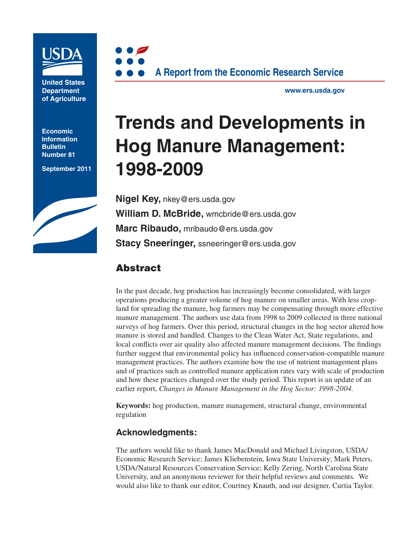

**United States Department of Agriculture**

**Economic Information Bulletin Number 81**

**September 2011**





**www.ers.usda.gov**

# **Trends and Developments in Hog Manure Management: 1998-2009**

**Nigel Key,** nkey@ers.usda.gov **William D. McBride,** wmcbride@ers.usda.gov **Marc Ribaudo,** mribaudo@ers.usda.gov **Stacy Sneeringer,** ssneeringer@ers.usda.gov

# **Abstract**

In the past decade, hog production has increasingly become consolidated, with larger operations producing a greater volume of hog manure on smaller areas. With less cropland for spreading the manure, hog farmers may be compensating through more effective manure management. The authors use data from 1998 to 2009 collected in three national surveys of hog farmers. Over this period, structural changes in the hog sector altered how manure is stored and handled. Changes to the Clean Water Act, State regulations, and local conflicts over air quality also affected manure management decisions. The findings further suggest that environmental policy has influenced conservation-compatible manure management practices. The authors examine how the use of nutrient management plans and of practices such as controlled manure application rates vary with scale of production and how these practices changed over the study period. This report is an update of an earlier report, *Changes in Manure Management in the Hog Sector: 1998-2004*.

**Keywords:** hog production, manure management, structural change, environmental regulation

## **Acknowledgments:**

The authors would like to thank James MacDonald and Michael Livingston, USDA/ Economic Research Service; James Kliebenstein, Iowa State University; Mark Peters, USDA/Natural Resources Conservation Service; Kelly Zering, North Carolina State University, and an anonymous reviewer for their helpful reviews and comments. We would also like to thank our editor, Courtney Knauth, and our designer, Curtia Taylor.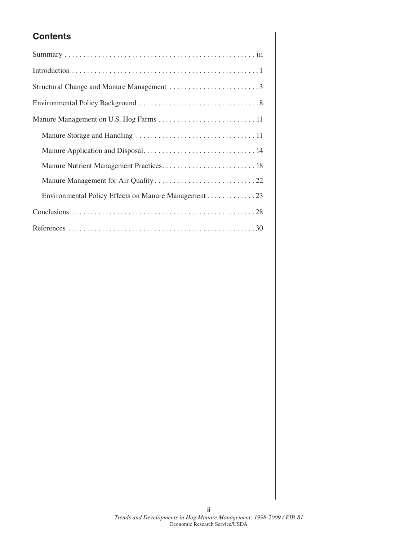# **Contents**

| Structural Change and Manure Management 3            |
|------------------------------------------------------|
|                                                      |
|                                                      |
|                                                      |
|                                                      |
|                                                      |
|                                                      |
| Environmental Policy Effects on Manure Management 23 |
|                                                      |
|                                                      |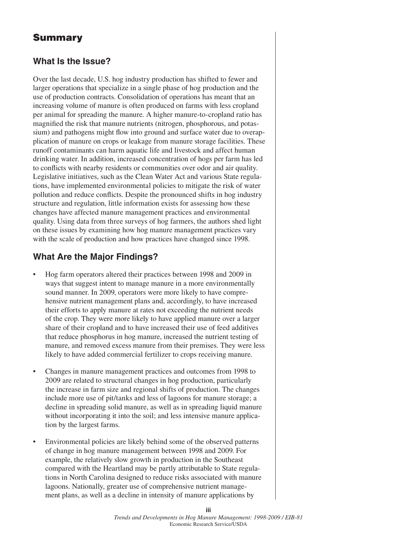# **Summary**

### **What Is the Issue?**

Over the last decade, U.S. hog industry production has shifted to fewer and larger operations that specialize in a single phase of hog production and the use of production contracts. Consolidation of operations has meant that an increasing volume of manure is often produced on farms with less cropland per animal for spreading the manure. A higher manure-to-cropland ratio has magnified the risk that manure nutrients (nitrogen, phosphorous, and potassium) and pathogens might flow into ground and surface water due to overapplication of manure on crops or leakage from manure storage facilities. These runoff contaminants can harm aquatic life and livestock and affect human drinking water. In addition, increased concentration of hogs per farm has led to conflicts with nearby residents or communities over odor and air quality. Legislative initiatives, such as the Clean Water Act and various State regulations, have implemented environmental policies to mitigate the risk of water pollution and reduce conflicts. Despite the pronounced shifts in hog industry structure and regulation, little information exists for assessing how these changes have affected manure management practices and environmental quality. Using data from three surveys of hog farmers, the authors shed light on these issues by examining how hog manure management practices vary with the scale of production and how practices have changed since 1998.

## **What Are the Major Findings?**

- Hog farm operators altered their practices between 1998 and 2009 in ways that suggest intent to manage manure in a more environmentally sound manner. In 2009, operators were more likely to have comprehensive nutrient management plans and, accordingly, to have increased their efforts to apply manure at rates not exceeding the nutrient needs of the crop. They were more likely to have applied manure over a larger share of their cropland and to have increased their use of feed additives that reduce phosphorus in hog manure, increased the nutrient testing of manure, and removed excess manure from their premises. They were less likely to have added commercial fertilizer to crops receiving manure.
- Changes in manure management practices and outcomes from 1998 to 2009 are related to structural changes in hog production, particularly the increase in farm size and regional shifts of production. The changes include more use of pit/tanks and less of lagoons for manure storage; a decline in spreading solid manure, as well as in spreading liquid manure without incorporating it into the soil; and less intensive manure application by the largest farms.
- Environmental policies are likely behind some of the observed patterns of change in hog manure management between 1998 and 2009. For example, the relatively slow growth in production in the Southeast compared with the Heartland may be partly attributable to State regulations in North Carolina designed to reduce risks associated with manure lagoons. Nationally, greater use of comprehensive nutrient management plans, as well as a decline in intensity of manure applications by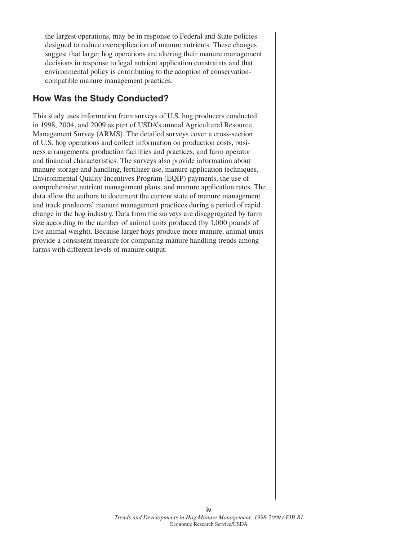the largest operations, may be in response to Federal and State policies designed to reduce overapplication of manure nutrients. These changes suggest that larger hog operations are altering their manure management decisions in response to legal nutrient application constraints and that environmental policy is contributing to the adoption of conservationcompatible manure management practices.

## **How Was the Study Conducted?**

This study uses information from surveys of U.S. hog producers conducted in 1998, 2004, and 2009 as part of USDA's annual Agricultural Resource Management Survey (ARMS). The detailed surveys cover a cross-section of U.S. hog operations and collect information on production costs, business arrangements, production facilities and practices, and farm operator and financial characteristics. The surveys also provide information about manure storage and handling, fertilizer use, manure application techniques, Environmental Quality Incentives Program (EQIP) payments, the use of comprehensive nutrient management plans, and manure application rates. The data allow the authors to document the current state of manure management and track producers' manure management practices during a period of rapid change in the hog industry. Data from the surveys are disaggregated by farm size according to the number of animal units produced (by 1,000 pounds of live animal weight). Because larger hogs produce more manure, animal units provide a consistent measure for comparing manure handling trends among farms with different levels of manure output.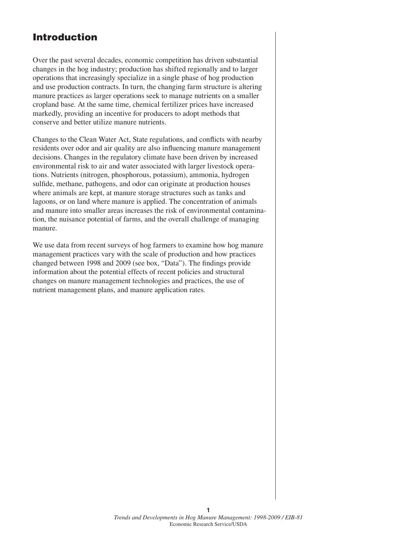# **Introduction**

Over the past several decades, economic competition has driven substantial changes in the hog industry; production has shifted regionally and to larger operations that increasingly specialize in a single phase of hog production and use production contracts. In turn, the changing farm structure is altering manure practices as larger operations seek to manage nutrients on a smaller cropland base. At the same time, chemical fertilizer prices have increased markedly, providing an incentive for producers to adopt methods that conserve and better utilize manure nutrients.

Changes to the Clean Water Act, State regulations, and conflicts with nearby residents over odor and air quality are also influencing manure management decisions. Changes in the regulatory climate have been driven by increased environmental risk to air and water associated with larger livestock operations. Nutrients (nitrogen, phosphorous, potassium), ammonia, hydrogen sulfide, methane, pathogens, and odor can originate at production houses where animals are kept, at manure storage structures such as tanks and lagoons, or on land where manure is applied. The concentration of animals and manure into smaller areas increases the risk of environmental contamination, the nuisance potential of farms, and the overall challenge of managing manure.

We use data from recent surveys of hog farmers to examine how hog manure management practices vary with the scale of production and how practices changed between 1998 and 2009 (see box, "Data"). The findings provide information about the potential effects of recent policies and structural changes on manure management technologies and practices, the use of nutrient management plans, and manure application rates.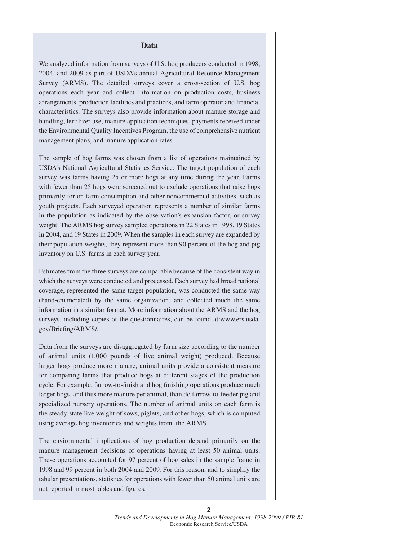#### **Data**

We analyzed information from surveys of U.S. hog producers conducted in 1998, 2004, and 2009 as part of USDA's annual Agricultural Resource Management Survey (ARMS). The detailed surveys cover a cross-section of U.S. hog operations each year and collect information on production costs, business arrangements, production facilities and practices, and farm operator and financial characteristics. The surveys also provide information about manure storage and handling, fertilizer use, manure application techniques, payments received under the Environmental Quality Incentives Program, the use of comprehensive nutrient management plans, and manure application rates.

The sample of hog farms was chosen from a list of operations maintained by USDA's National Agricultural Statistics Service. The target population of each survey was farms having 25 or more hogs at any time during the year. Farms with fewer than 25 hogs were screened out to exclude operations that raise hogs primarily for on-farm consumption and other noncommercial activities, such as youth projects. Each surveyed operation represents a number of similar farms in the population as indicated by the observation's expansion factor, or survey weight. The ARMS hog survey sampled operations in 22 States in 1998, 19 States in 2004, and 19 States in 2009. When the samples in each survey are expanded by their population weights, they represent more than 90 percent of the hog and pig inventory on U.S. farms in each survey year.

Estimates from the three surveys are comparable because of the consistent way in which the surveys were conducted and processed. Each survey had broad national coverage, represented the same target population, was conducted the same way (hand-enumerated) by the same organization, and collected much the same information in a similar format. More information about the ARMS and the hog surveys, including copies of the questionnaires, can be found at:www.ers.usda. gov/Briefing/ARMS/.

Data from the surveys are disaggregated by farm size according to the number of animal units (1,000 pounds of live animal weight) produced. Because larger hogs produce more manure, animal units provide a consistent measure for comparing farms that produce hogs at different stages of the production cycle. For example, farrow-to-finish and hog finishing operations produce much larger hogs, and thus more manure per animal, than do farrow-to-feeder pig and specialized nursery operations. The number of animal units on each farm is the steady-state live weight of sows, piglets, and other hogs, which is computed using average hog inventories and weights from the ARMS.

The environmental implications of hog production depend primarily on the manure management decisions of operations having at least 50 animal units. These operations accounted for 97 percent of hog sales in the sample frame in 1998 and 99 percent in both 2004 and 2009. For this reason, and to simplify the tabular presentations, statistics for operations with fewer than 50 animal units are not reported in most tables and figures.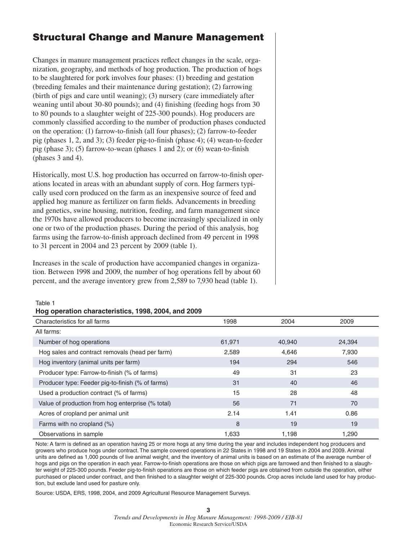# **Structural Change and Manure Management**

Changes in manure management practices reflect changes in the scale, organization, geography, and methods of hog production. The production of hogs to be slaughtered for pork involves four phases: (1) breeding and gestation (breeding females and their maintenance during gestation); (2) farrowing (birth of pigs and care until weaning); (3) nursery (care immediately after weaning until about 30-80 pounds); and (4) finishing (feeding hogs from 30 to 80 pounds to a slaughter weight of 225-300 pounds). Hog producers are commonly classified according to the number of production phases conducted on the operation: (1) farrow-to-finish (all four phases); (2) farrow-to-feeder pig (phases 1, 2, and 3); (3) feeder pig-to-finish (phase 4); (4) wean-to-feeder pig (phase 3); (5) farrow-to-wean (phases 1 and 2); or (6) wean-to-finish (phases 3 and 4).

Historically, most U.S. hog production has occurred on farrow-to-finish operations located in areas with an abundant supply of corn. Hog farmers typically used corn produced on the farm as an inexpensive source of feed and applied hog manure as fertilizer on farm fields. Advancements in breeding and genetics, swine housing, nutrition, feeding, and farm management since the 1970s have allowed producers to become increasingly specialized in only one or two of the production phases. During the period of this analysis, hog farms using the farrow-to-finish approach declined from 49 percent in 1998 to 31 percent in 2004 and 23 percent by 2009 (table 1).

Increases in the scale of production have accompanied changes in organization. Between 1998 and 2009, the number of hog operations fell by about 60 percent, and the average inventory grew from 2,589 to 7,930 head (table 1).

#### Table 1

#### **Hog operation characteristics, 1998, 2004, and 2009**

| Characteristics for all farms                     | 1998   | 2004   | 2009   |
|---------------------------------------------------|--------|--------|--------|
| All farms:                                        |        |        |        |
| Number of hog operations                          | 61,971 | 40,940 | 24,394 |
| Hog sales and contract removals (head per farm)   | 2,589  | 4,646  | 7,930  |
| Hog inventory (animal units per farm)             | 194    | 294    | 546    |
| Producer type: Farrow-to-finish (% of farms)      | 49     | 31     | 23     |
| Producer type: Feeder pig-to-finish (% of farms)  | 31     | 40     | 46     |
| Used a production contract (% of farms)           | 15     | 28     | 48     |
| Value of production from hog enterprise (% total) | 56     | 71     | 70     |
| Acres of cropland per animal unit                 | 2.14   | 1.41   | 0.86   |
| Farms with no cropland $(\%)$                     | 8      | 19     | 19     |
| Observations in sample                            | 1,633  | 1,198  | 1,290  |

Note: A farm is defined as an operation having 25 or more hogs at any time during the year and includes independent hog producers and growers who produce hogs under contract. The sample covered operations in 22 States in 1998 and 19 States in 2004 and 2009. Animal units are defined as 1,000 pounds of live animal weight, and the inventory of animal units is based on an estimate of the average number of hogs and pigs on the operation in each year. Farrow-to-finish operations are those on which pigs are farrowed and then finished to a slaughter weight of 225-300 pounds. Feeder pig-to-finish operations are those on which feeder pigs are obtained from outside the operation, either purchased or placed under contract, and then finished to a slaughter weight of 225-300 pounds. Crop acres include land used for hay production, but exclude land used for pasture only.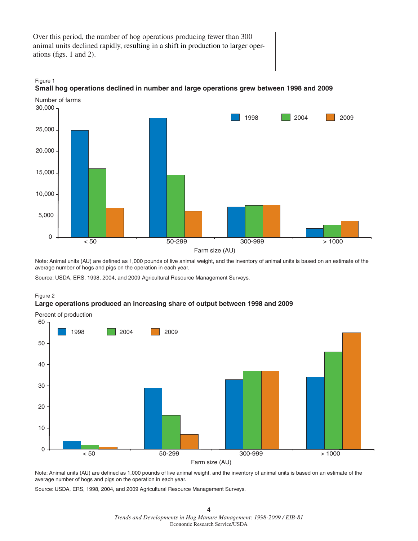Over this period, the number of hog operations producing fewer than 300 animal units declined rapidly, resulting in a shift in production to larger operations (figs.  $1$  and  $2$ ).





Note: Animal units (AU) are defined as 1,000 pounds of live animal weight, and the inventory of animal units is based on an estimate of the average number of hogs and pigs on the operation in each year.

Source: USDA, ERS, 1998, 2004, and 2009 Agricultural Resource Management Surveys.



#### **Large operations produced an increasing share of output between 1998 and 2009**



Note: Animal units (AU) are defined as 1,000 pounds of live animal weight, and the inventory of animal units is based on an estimate of the average number of hogs and pigs on the operation in each year.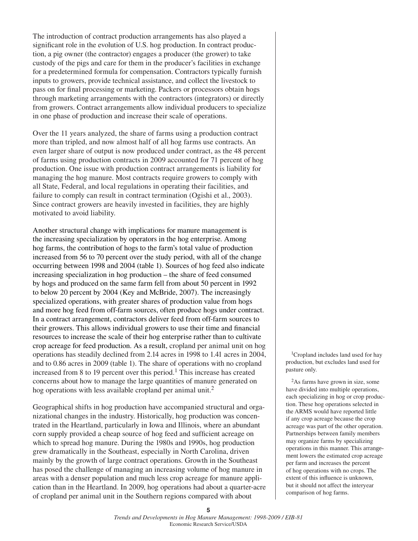The introduction of contract production arrangements has also played a significant role in the evolution of U.S. hog production. In contract production, a pig owner (the contractor) engages a producer (the grower) to take custody of the pigs and care for them in the producer's facilities in exchange for a predetermined formula for compensation. Contractors typically furnish inputs to growers, provide technical assistance, and collect the livestock to pass on for final processing or marketing. Packers or processors obtain hogs through marketing arrangements with the contractors (integrators) or directly from growers. Contract arrangements allow individual producers to specialize in one phase of production and increase their scale of operations.

Over the 11 years analyzed, the share of farms using a production contract more than tripled, and now almost half of all hog farms use contracts. An even larger share of output is now produced under contract, as the 48 percent of farms using production contracts in 2009 accounted for 71 percent of hog production. One issue with production contract arrangements is liability for managing the hog manure. Most contracts require growers to comply with all State, Federal, and local regulations in operating their facilities, and failure to comply can result in contract termination (Ogishi et al., 2003). Since contract growers are heavily invested in facilities, they are highly motivated to avoid liability.

Another structural change with implications for manure management is the increasing specialization by operators in the hog enterprise. Among hog farms, the contribution of hogs to the farm's total value of production increased from 56 to 70 percent over the study period, with all of the change occurring between 1998 and 2004 (table 1). Sources of hog feed also indicate increasing specialization in hog production – the share of feed consumed by hogs and produced on the same farm fell from about 50 percent in 1992 to below 20 percent by 2004 (Key and McBride, 2007). The increasingly specialized operations, with greater shares of production value from hogs and more hog feed from off-farm sources, often produce hogs under contract. In a contract arrangement, contractors deliver feed from off-farm sources to their growers. This allows individual growers to use their time and financial resources to increase the scale of their hog enterprise rather than to cultivate crop acreage for feed production. As a result, cropland per animal unit on hog operations has steadily declined from 2.14 acres in 1998 to 1.41 acres in 2004, and to 0.86 acres in 2009 (table 1). The share of operations with no cropland increased from 8 to 19 percent over this period.<sup>1</sup> This increase has created concerns about how to manage the large quantities of manure generated on hog operations with less available cropland per animal unit.<sup>2</sup>

Geographical shifts in hog production have accompanied structural and organizational changes in the industry. Historically, hog production was concentrated in the Heartland, particularly in Iowa and Illinois, where an abundant corn supply provided a cheap source of hog feed and sufficient acreage on which to spread hog manure. During the 1980s and 1990s, hog production grew dramatically in the Southeast, especially in North Carolina, driven mainly by the growth of large contract operations. Growth in the Southeast has posed the challenge of managing an increasing volume of hog manure in areas with a denser population and much less crop acreage for manure application than in the Heartland. In 2009, hog operations had about a quarter-acre of cropland per animal unit in the Southern regions compared with about

<sup>1</sup>Cropland includes land used for hay production, but excludes land used for pasture only.

2As farms have grown in size, some have divided into multiple operations, each specializing in hog or crop production. These hog operations selected in the ARMS would have reported little if any crop acreage because the crop acreage was part of the other operation. Partnerships between family members may organize farms by specializing operations in this manner. This arrangement lowers the estimated crop acreage per farm and increases the percent of hog operations with no crops. The extent of this influence is unknown, but it should not affect the interyear comparison of hog farms.

**<sup>5</sup>**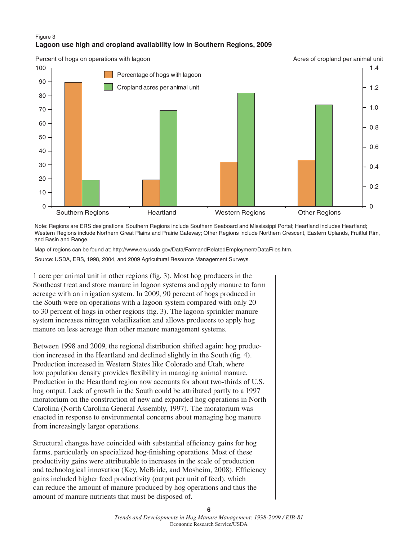#### Figure 3 **Lagoon use high and cropland availability low in Southern Regions, 2009**



Note: Regions are ERS designations. Southern Regions include Southern Seaboard and Mississippi Portal; Heartland includes Heartland; Western Regions include Northern Great Plains and Prairie Gateway; Other Regions include Northern Crescent, Eastern Uplands, Fruitful Rim, and Basin and Range.

Map of regions can be found at: http://www.ers.usda.gov/Data/FarmandRelatedEmployment/DataFiles.htm.

Source: USDA, ERS, 1998, 2004, and 2009 Agricultural Resource Management Surveys.

1 acre per animal unit in other regions (fig. 3). Most hog producers in the Southeast treat and store manure in lagoon systems and apply manure to farm acreage with an irrigation system. In 2009, 90 percent of hogs produced in the South were on operations with a lagoon system compared with only 20 to 30 percent of hogs in other regions (fig. 3). The lagoon-sprinkler manure system increases nitrogen volatilization and allows producers to apply hog manure on less acreage than other manure management systems.

Between 1998 and 2009, the regional distribution shifted again: hog production increased in the Heartland and declined slightly in the South (fig. 4). Production increased in Western States like Colorado and Utah, where low population density provides flexibility in managing animal manure. Production in the Heartland region now accounts for about two-thirds of U.S. hog output. Lack of growth in the South could be attributed partly to a 1997 moratorium on the construction of new and expanded hog operations in North Carolina (North Carolina General Assembly, 1997). The moratorium was enacted in response to environmental concerns about managing hog manure from increasingly larger operations.

Structural changes have coincided with substantial efficiency gains for hog farms, particularly on specialized hog-finishing operations. Most of these productivity gains were attributable to increases in the scale of production and technological innovation (Key, McBride, and Mosheim, 2008). Efficiency gains included higher feed productivity (output per unit of feed), which can reduce the amount of manure produced by hog operations and thus the amount of manure nutrients that must be disposed of.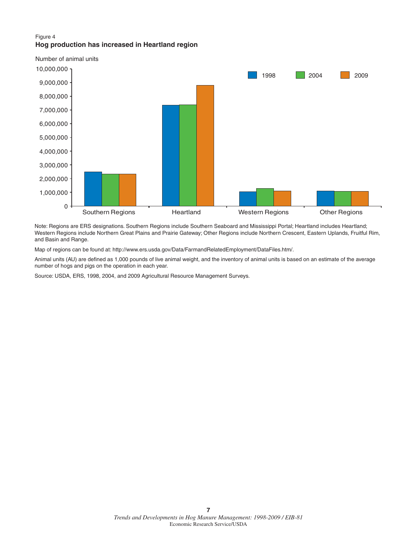#### Figure 4 **Hog production has increased in Heartland region**



Note: Regions are ERS designations. Southern Regions include Southern Seaboard and Mississippi Portal; Heartland includes Heartland; Western Regions include Northern Great Plains and Prairie Gateway; Other Regions include Northern Crescent, Eastern Uplands, Fruitful Rim, and Basin and Range.

Map of regions can be found at: http://www.ers.usda.gov/Data/FarmandRelatedEmployment/DataFiles.htm/.

Animal units (AU) are defined as 1,000 pounds of live animal weight, and the inventory of animal units is based on an estimate of the average number of hogs and pigs on the operation in each year.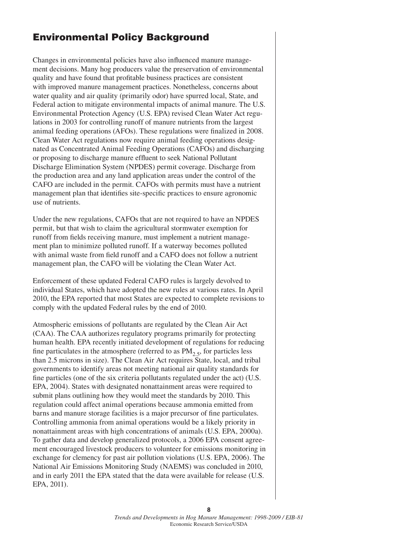# **Environmental Policy Background**

Changes in environmental policies have also influenced manure management decisions. Many hog producers value the preservation of environmental quality and have found that profitable business practices are consistent with improved manure management practices. Nonetheless, concerns about water quality and air quality (primarily odor) have spurred local, State, and Federal action to mitigate environmental impacts of animal manure. The U.S. Environmental Protection Agency (U.S. EPA) revised Clean Water Act regulations in 2003 for controlling runoff of manure nutrients from the largest animal feeding operations (AFOs). These regulations were finalized in 2008. Clean Water Act regulations now require animal feeding operations designated as Concentrated Animal Feeding Operations (CAFOs) and discharging or proposing to discharge manure effluent to seek National Pollutant Discharge Elimination System (NPDES) permit coverage. Discharge from the production area and any land application areas under the control of the CAFO are included in the permit. CAFOs with permits must have a nutrient management plan that identifies site-specific practices to ensure agronomic use of nutrients.

Under the new regulations, CAFOs that are not required to have an NPDES permit, but that wish to claim the agricultural stormwater exemption for runoff from fields receiving manure, must implement a nutrient management plan to minimize polluted runoff. If a waterway becomes polluted with animal waste from field runoff and a CAFO does not follow a nutrient management plan, the CAFO will be violating the Clean Water Act.

Enforcement of these updated Federal CAFO rules is largely devolved to individual States, which have adopted the new rules at various rates. In April 2010, the EPA reported that most States are expected to complete revisions to comply with the updated Federal rules by the end of 2010.

Atmospheric emissions of pollutants are regulated by the Clean Air Act (CAA). The CAA authorizes regulatory programs primarily for protecting human health. EPA recently initiated development of regulations for reducing fine particulates in the atmosphere (referred to as  $PM<sub>2</sub>$ , for particles less than 2.5 microns in size). The Clean Air Act requires State, local, and tribal governments to identify areas not meeting national air quality standards for fine particles (one of the six criteria pollutants regulated under the act) (U.S. EPA, 2004). States with designated nonattainment areas were required to submit plans outlining how they would meet the standards by 2010. This regulation could affect animal operations because ammonia emitted from barns and manure storage facilities is a major precursor of fine particulates. Controlling ammonia from animal operations would be a likely priority in nonattainment areas with high concentrations of animals (U.S. EPA, 2000a). To gather data and develop generalized protocols, a 2006 EPA consent agreement encouraged livestock producers to volunteer for emissions monitoring in exchange for clemency for past air pollution violations (U.S. EPA, 2006). The National Air Emissions Monitoring Study (NAEMS) was concluded in 2010, and in early 2011 the EPA stated that the data were available for release (U.S. EPA, 2011).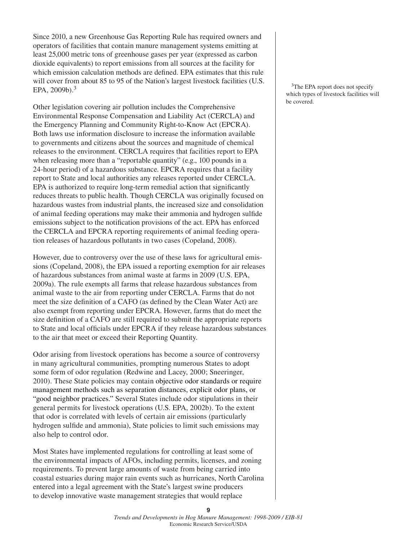Since 2010, a new Greenhouse Gas Reporting Rule has required owners and operators of facilities that contain manure management systems emitting at least 25,000 metric tons of greenhouse gases per year (expressed as carbon dioxide equivalents) to report emissions from all sources at the facility for which emission calculation methods are defined. EPA estimates that this rule will cover from about 85 to 95 of the Nation's largest livestock facilities (U.S. EPA,  $2009b$ ).<sup>3</sup>

Other legislation covering air pollution includes the Comprehensive Environmental Response Compensation and Liability Act (CERCLA) and the Emergency Planning and Community Right-to-Know Act (EPCRA). Both laws use information disclosure to increase the information available to governments and citizens about the sources and magnitude of chemical releases to the environment. CERCLA requires that facilities report to EPA when releasing more than a "reportable quantity" (e.g., 100 pounds in a 24-hour period) of a hazardous substance. EPCRA requires that a facility report to State and local authorities any releases reported under CERCLA. EPA is authorized to require long-term remedial action that significantly reduces threats to public health. Though CERCLA was originally focused on hazardous wastes from industrial plants, the increased size and consolidation of animal feeding operations may make their ammonia and hydrogen sulfide emissions subject to the notification provisions of the act. EPA has enforced the CERCLA and EPCRA reporting requirements of animal feeding operation releases of hazardous pollutants in two cases (Copeland, 2008).

However, due to controversy over the use of these laws for agricultural emissions (Copeland, 2008), the EPA issued a reporting exemption for air releases of hazardous substances from animal waste at farms in 2009 (U.S. EPA, 2009a). The rule exempts all farms that release hazardous substances from animal waste to the air from reporting under CERCLA. Farms that do not meet the size definition of a CAFO (as defined by the Clean Water Act) are also exempt from reporting under EPCRA. However, farms that do meet the size definition of a CAFO are still required to submit the appropriate reports to State and local officials under EPCRA if they release hazardous substances to the air that meet or exceed their Reporting Quantity.

Odor arising from livestock operations has become a source of controversy in many agricultural communities, prompting numerous States to adopt some form of odor regulation (Redwine and Lacey, 2000; Sneeringer, 2010). These State policies may contain objective odor standards or require management methods such as separation distances, explicit odor plans, or "good neighbor practices." Several States include odor stipulations in their general permits for livestock operations (U.S. EPA, 2002b). To the extent that odor is correlated with levels of certain air emissions (particularly hydrogen sulfide and ammonia), State policies to limit such emissions may also help to control odor.

Most States have implemented regulations for controlling at least some of the environmental impacts of AFOs, including permits, licenses, and zoning requirements. To prevent large amounts of waste from being carried into coastal estuaries during major rain events such as hurricanes, North Carolina entered into a legal agreement with the State's largest swine producers to develop innovative waste management strategies that would replace

<sup>3</sup>The EPA report does not specify which types of livestock facilities will be covered.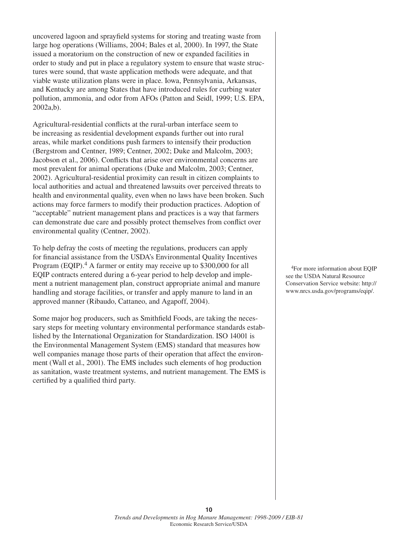uncovered lagoon and sprayfield systems for storing and treating waste from large hog operations (Williams, 2004; Bales et al, 2000). In 1997, the State issued a moratorium on the construction of new or expanded facilities in order to study and put in place a regulatory system to ensure that waste structures were sound, that waste application methods were adequate, and that viable waste utilization plans were in place. Iowa, Pennsylvania, Arkansas, and Kentucky are among States that have introduced rules for curbing water pollution, ammonia, and odor from AFOs (Patton and Seidl, 1999; U.S. EPA, 2002a,b).

Agricultural-residential conflicts at the rural-urban interface seem to be increasing as residential development expands further out into rural areas, while market conditions push farmers to intensify their production (Bergstrom and Centner, 1989; Centner, 2002; Duke and Malcolm, 2003; Jacobson et al., 2006). Conflicts that arise over environmental concerns are most prevalent for animal operations (Duke and Malcolm, 2003; Centner, 2002). Agricultural-residential proximity can result in citizen complaints to local authorities and actual and threatened lawsuits over perceived threats to health and environmental quality, even when no laws have been broken. Such actions may force farmers to modify their production practices. Adoption of "acceptable" nutrient management plans and practices is a way that farmers can demonstrate due care and possibly protect themselves from conflict over environmental quality (Centner, 2002).

To help defray the costs of meeting the regulations, producers can apply for financial assistance from the USDA's Environmental Quality Incentives Program (EQIP).<sup>4</sup> A farmer or entity may receive up to \$300,000 for all EQIP contracts entered during a 6-year period to help develop and implement a nutrient management plan, construct appropriate animal and manure handling and storage facilities, or transfer and apply manure to land in an approved manner (Ribaudo, Cattaneo, and Agapoff, 2004).

Some major hog producers, such as Smithfield Foods, are taking the necessary steps for meeting voluntary environmental performance standards established by the International Organization for Standardization. ISO 14001 is the Environmental Management System (EMS) standard that measures how well companies manage those parts of their operation that affect the environment (Wall et al., 2001). The EMS includes such elements of hog production as sanitation, waste treatment systems, and nutrient management. The EMS is certified by a qualified third party.

4For more information about EQIP see the USDA Natural Resource Conservation Service website: http:// www.nrcs.usda.gov/programs/eqip/.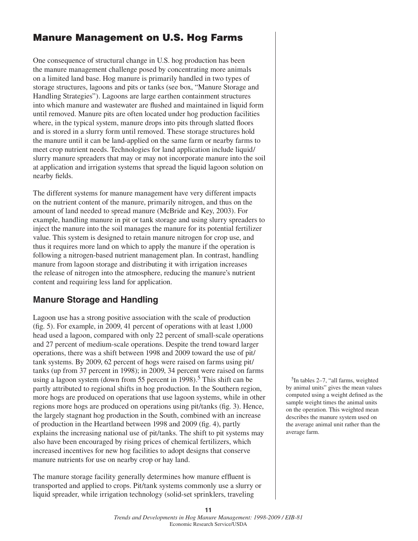# **Manure Management on U.S. Hog Farms**

One consequence of structural change in U.S. hog production has been the manure management challenge posed by concentrating more animals on a limited land base. Hog manure is primarily handled in two types of storage structures, lagoons and pits or tanks (see box, "Manure Storage and Handling Strategies"). Lagoons are large earthen containment structures into which manure and wastewater are flushed and maintained in liquid form until removed. Manure pits are often located under hog production facilities where, in the typical system, manure drops into pits through slatted floors and is stored in a slurry form until removed. These storage structures hold the manure until it can be land-applied on the same farm or nearby farms to meet crop nutrient needs. Technologies for land application include liquid/ slurry manure spreaders that may or may not incorporate manure into the soil at application and irrigation systems that spread the liquid lagoon solution on nearby fields.

The different systems for manure management have very different impacts on the nutrient content of the manure, primarily nitrogen, and thus on the amount of land needed to spread manure (McBride and Key, 2003). For example, handling manure in pit or tank storage and using slurry spreaders to inject the manure into the soil manages the manure for its potential fertilizer value. This system is designed to retain manure nitrogen for crop use, and thus it requires more land on which to apply the manure if the operation is following a nitrogen-based nutrient management plan. In contrast, handling manure from lagoon storage and distributing it with irrigation increases the release of nitrogen into the atmosphere, reducing the manure's nutrient content and requiring less land for application.

## **Manure Storage and Handling**

Lagoon use has a strong positive association with the scale of production (fig. 5). For example, in 2009, 41 percent of operations with at least  $1,000$ head used a lagoon, compared with only 22 percent of small-scale operations and 27 percent of medium-scale operations. Despite the trend toward larger operations, there was a shift between 1998 and 2009 toward the use of pit/ tank systems. By 2009, 62 percent of hogs were raised on farms using pit/ tanks (up from 37 percent in 1998); in 2009, 34 percent were raised on farms using a lagoon system (down from 55 percent in 1998).<sup>5</sup> This shift can be partly attributed to regional shifts in hog production. In the Southern region, more hogs are produced on operations that use lagoon systems, while in other regions more hogs are produced on operations using pit/tanks (fig. 3). Hence, the largely stagnant hog production in the South, combined with an increase of production in the Heartland between 1998 and 2009 (fig. 4), partly explains the increasing national use of pit/tanks. The shift to pit systems may also have been encouraged by rising prices of chemical fertilizers, which increased incentives for new hog facilities to adopt designs that conserve manure nutrients for use on nearby crop or hay land.

The manure storage facility generally determines how manure effluent is transported and applied to crops. Pit/tank systems commonly use a slurry or liquid spreader, while irrigation technology (solid-set sprinklers, traveling

 $5$ In tables 2–7, "all farms, weighted by animal units" gives the mean values computed using a weight defined as the sample weight times the animal units on the operation. This weighted mean describes the manure system used on the average animal unit rather than the average farm.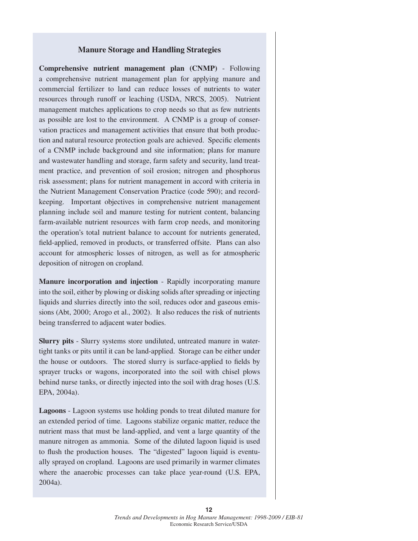#### **Manure Storage and Handling Strategies**

**Comprehensive nutrient management plan (CNMP)** - Following a comprehensive nutrient management plan for applying manure and commercial fertilizer to land can reduce losses of nutrients to water resources through runoff or leaching (USDA, NRCS, 2005). Nutrient management matches applications to crop needs so that as few nutrients as possible are lost to the environment. A CNMP is a group of conservation practices and management activities that ensure that both production and natural resource protection goals are achieved. Specific elements of a CNMP include background and site information; plans for manure and wastewater handling and storage, farm safety and security, land treatment practice, and prevention of soil erosion; nitrogen and phosphorus risk assessment; plans for nutrient management in accord with criteria in the Nutrient Management Conservation Practice (code 590); and recordkeeping. Important objectives in comprehensive nutrient management planning include soil and manure testing for nutrient content, balancing farm-available nutrient resources with farm crop needs, and monitoring the operation's total nutrient balance to account for nutrients generated, field-applied, removed in products, or transferred offsite. Plans can also account for atmospheric losses of nitrogen, as well as for atmospheric deposition of nitrogen on cropland.

**Manure incorporation and injection** - Rapidly incorporating manure into the soil, either by plowing or disking solids after spreading or injecting liquids and slurries directly into the soil, reduces odor and gaseous emissions (Abt, 2000; Arogo et al., 2002). It also reduces the risk of nutrients being transferred to adjacent water bodies.

**Slurry pits** - Slurry systems store undiluted, untreated manure in watertight tanks or pits until it can be land-applied. Storage can be either under the house or outdoors. The stored slurry is surface-applied to fields by sprayer trucks or wagons, incorporated into the soil with chisel plows behind nurse tanks, or directly injected into the soil with drag hoses (U.S. EPA, 2004a).

**Lagoons** - Lagoon systems use holding ponds to treat diluted manure for an extended period of time. Lagoons stabilize organic matter, reduce the nutrient mass that must be land-applied, and vent a large quantity of the manure nitrogen as ammonia. Some of the diluted lagoon liquid is used to flush the production houses. The "digested" lagoon liquid is eventually sprayed on cropland. Lagoons are used primarily in warmer climates where the anaerobic processes can take place year-round (U.S. EPA, 2004a).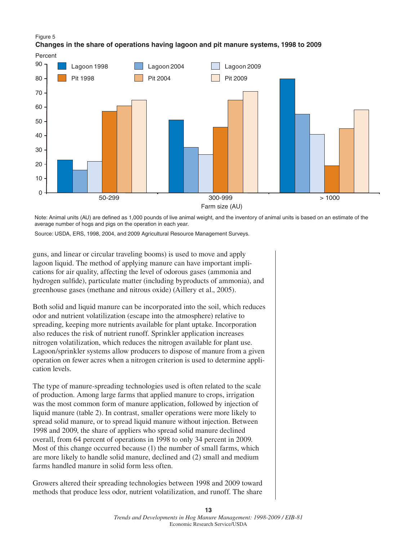#### Figure 5

#### **Changes in the share of operations having lagoon and pit manure systems, 1998 to 2009**



Note: Animal units (AU) are defined as 1,000 pounds of live animal weight, and the inventory of animal units is based on an estimate of the average number of hogs and pigs on the operation in each year.

Source: USDA, ERS, 1998, 2004, and 2009 Agricultural Resource Management Surveys.

guns, and linear or circular traveling booms) is used to move and apply lagoon liquid. The method of applying manure can have important implications for air quality, affecting the level of odorous gases (ammonia and hydrogen sulfide), particulate matter (including byproducts of ammonia), and greenhouse gases (methane and nitrous oxide) (Aillery et al., 2005).

Both solid and liquid manure can be incorporated into the soil, which reduces odor and nutrient volatilization (escape into the atmosphere) relative to spreading, keeping more nutrients available for plant uptake. Incorporation also reduces the risk of nutrient runoff. Sprinkler application increases nitrogen volatilization, which reduces the nitrogen available for plant use. Lagoon/sprinkler systems allow producers to dispose of manure from a given operation on fewer acres when a nitrogen criterion is used to determine application levels.

The type of manure-spreading technologies used is often related to the scale of production. Among large farms that applied manure to crops, irrigation was the most common form of manure application, followed by injection of liquid manure (table 2). In contrast, smaller operations were more likely to spread solid manure, or to spread liquid manure without injection. Between 1998 and 2009, the share of appliers who spread solid manure declined overall, from 64 percent of operations in 1998 to only 34 percent in 2009. Most of this change occurred because (1) the number of small farms, which are more likely to handle solid manure, declined and (2) small and medium farms handled manure in solid form less often.

Growers altered their spreading technologies between 1998 and 2009 toward methods that produce less odor, nutrient volatilization, and runoff. The share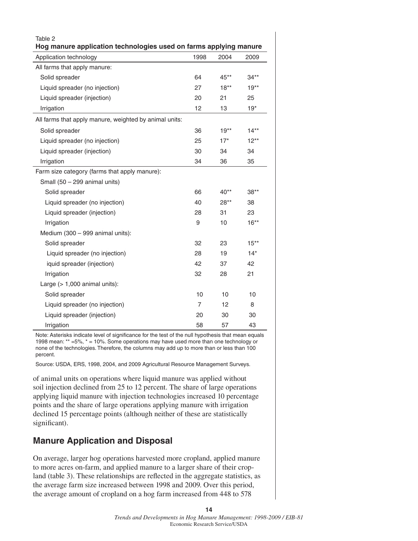| Table 2                                                                                     |      |        |         |
|---------------------------------------------------------------------------------------------|------|--------|---------|
| Hog manure application technologies used on farms applying manure<br>Application technology | 1998 | 2004   | 2009    |
| All farms that apply manure:                                                                |      |        |         |
| Solid spreader                                                                              | 64   | $45**$ | $34**$  |
| Liquid spreader (no injection)                                                              | 27   | $18**$ | $19**$  |
| Liquid spreader (injection)                                                                 | 20   | 21     | 25      |
| Irrigation                                                                                  | 12   | 13     | $19*$   |
| All farms that apply manure, weighted by animal units:                                      |      |        |         |
| Solid spreader                                                                              | 36   | $19**$ | $14**$  |
| Liquid spreader (no injection)                                                              | 25   | $17*$  | $12***$ |
| Liquid spreader (injection)                                                                 | 30   | 34     | 34      |
| Irrigation                                                                                  | 34   | 36     | 35      |
| Farm size category (farms that apply manure):                                               |      |        |         |
| Small (50 - 299 animal units)                                                               |      |        |         |
| Solid spreader                                                                              | 66   | $40**$ | $38**$  |
| Liquid spreader (no injection)                                                              | 40   | $28**$ | 38      |
| Liquid spreader (injection)                                                                 | 28   | 31     | 23      |
| Irrigation                                                                                  | 9    | 10     | $16***$ |
| Medium (300 - 999 animal units):                                                            |      |        |         |
| Solid spreader                                                                              | 32   | 23     | $15**$  |
| Liquid spreader (no injection)                                                              | 28   | 19     | $14*$   |
| iquid spreader (injection)                                                                  | 42   | 37     | 42      |
| Irrigation                                                                                  | 32   | 28     | 21      |
| Large (> 1,000 animal units):                                                               |      |        |         |
| Solid spreader                                                                              | 10   | 10     | 10      |
| Liquid spreader (no injection)                                                              | 7    | 12     | 8       |
| Liquid spreader (injection)                                                                 | 20   | 30     | 30      |
| Irrigation                                                                                  | 58   | 57     | 43      |

Note: Asterisks indicate level of significance for the test of the null hypothesis that mean equals 1998 mean: \*\* =5%, \* = 10%. Some operations may have used more than one technology or none of the technologies. Therefore, the columns may add up to more than or less than 100 percent.

Source: USDA, ERS, 1998, 2004, and 2009 Agricultural Resource Management Surveys.

of animal units on operations where liquid manure was applied without soil injection declined from 25 to 12 percent. The share of large operations applying liquid manure with injection technologies increased 10 percentage points and the share of large operations applying manure with irrigation declined 15 percentage points (although neither of these are statistically significant).

## **Manure Application and Disposal**

On average, larger hog operations harvested more cropland, applied manure to more acres on-farm, and applied manure to a larger share of their cropland (table 3). These relationships are reflected in the aggregate statistics, as the average farm size increased between 1998 and 2009. Over this period, the average amount of cropland on a hog farm increased from 448 to 578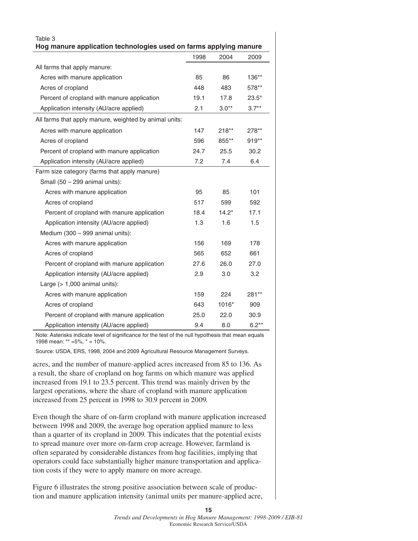| Table 3<br>Hog manure application technologies used on farms applying manure |      |         |         |  |
|------------------------------------------------------------------------------|------|---------|---------|--|
|                                                                              | 1998 | 2004    | 2009    |  |
| All farms that apply manure:                                                 |      |         |         |  |
| Acres with manure application                                                | 85   | 86      | $136**$ |  |
| Acres of cropland                                                            | 448  | 483     | 578**   |  |
| Percent of cropland with manure application                                  | 19.1 | 17.8    | $23.5*$ |  |
| Application intensity (AU/acre applied)                                      | 2.1  | $3.0**$ | $3.7**$ |  |
| All farms that apply manure, weighted by animal units:                       |      |         |         |  |
| Acres with manure application                                                | 147  | $218**$ | 278**   |  |
| Acres of cropland                                                            | 596  | 855**   | $919**$ |  |
| Percent of cropland with manure application                                  | 24.7 | 25.5    | 30.2    |  |
| Application intensity (AU/acre applied)                                      | 7.2  | 7.4     | 6.4     |  |
| Farm size category (farms that apply manure)                                 |      |         |         |  |
| Small (50 - 299 animal units):                                               |      |         |         |  |
| Acres with manure application                                                | 95   | 85      | 101     |  |
| Acres of cropland                                                            | 517  | 599     | 592     |  |
| Percent of cropland with manure application                                  | 18.4 | $14.2*$ | 17.1    |  |
| Application intensity (AU/acre applied)                                      | 1.3  | 1.6     | 1.5     |  |
| Medium (300 - 999 animal units):                                             |      |         |         |  |
| Acres with manure application                                                | 156  | 169     | 178     |  |
| Acres of cropland                                                            | 565  | 652     | 661     |  |
| Percent of cropland with manure application                                  | 27.6 | 26.0    | 27.0    |  |
| Application intensity (AU/acre applied)                                      | 2.9  | 3.0     | 3.2     |  |
| Large $(>1,000$ animal units):                                               |      |         |         |  |
| Acres with manure application                                                | 159  | 224     | 281**   |  |
| Acres of cropland                                                            | 643  | 1016*   | 909     |  |
| Percent of cropland with manure application                                  | 25.0 | 22.0    | 30.9    |  |
| Application intensity (AU/acre applied)                                      | 9.4  | 8.0     | $6.2**$ |  |

Note: Asterisks indicate level of significance for the test of the null hypothesis that mean equals 1998 mean: \*\* =5%, \* = 10%.

Source: USDA, ERS, 1998, 2004 and 2009 Agricultural Resource Management Surveys.

acres, and the number of manure-applied acres increased from 85 to 136. As a result, the share of cropland on hog farms on which manure was applied increased from 19.1 to 23.5 percent. This trend was mainly driven by the largest operations, where the share of cropland with manure application increased from 25 percent in 1998 to 30.9 percent in 2009.

Even though the share of on-farm cropland with manure application increased between 1998 and 2009, the average hog operation applied manure to less than a quarter of its cropland in 2009. This indicates that the potential exists to spread manure over more on-farm crop acreage. However, farmland is often separated by considerable distances from hog facilities, implying that operators could face substantially higher manure transportation and application costs if they were to apply manure on more acreage.

Figure 6 illustrates the strong positive association between scale of production and manure application intensity (animal units per manure-applied acre,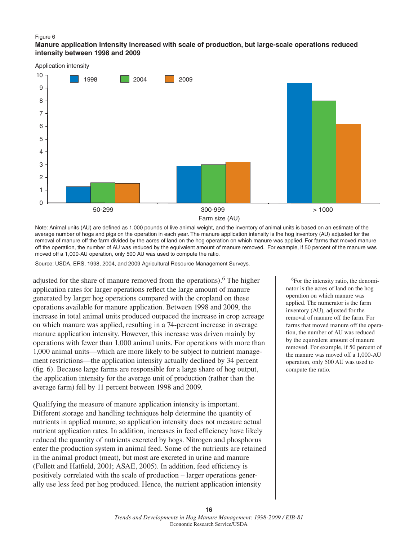#### Figure 6

#### **Manure application intensity increased with scale of production, but large-scale operations reduced intensity between 1998 and 2009**



Note: Animal units (AU) are defined as 1,000 pounds of live animal weight, and the inventory of animal units is based on an estimate of the average number of hogs and pigs on the operation in each year. The manure application intensity is the hog inventory (AU) adjusted for the removal of manure off the farm divided by the acres of land on the hog operation on which manure was applied. For farms that moved manure off the operation, the number of AU was reduced by the equivalent amount of manure removed. For example, if 50 percent of the manure was moved off a 1,000-AU operation, only 500 AU was used to compute the ratio.

Source: USDA, ERS, 1998, 2004, and 2009 Agricultural Resource Management Surveys.

adjusted for the share of manure removed from the operations).<sup>6</sup> The higher application rates for larger operations reflect the large amount of manure generated by larger hog operations compared with the cropland on these operations available for manure application. Between 1998 and 2009, the increase in total animal units produced outpaced the increase in crop acreage on which manure was applied, resulting in a 74-percent increase in average manure application intensity. However, this increase was driven mainly by operations with fewer than 1,000 animal units. For operations with more than 1,000 animal units—which are more likely to be subject to nutrient management restrictions—the application intensity actually declined by 34 percent  $(f_1, f_2, f_3)$ . Because large farms are responsible for a large share of hog output, the application intensity for the average unit of production (rather than the average farm) fell by 11 percent between 1998 and 2009.

Qualifying the measure of manure application intensity is important. Different storage and handling techniques help determine the quantity of nutrients in applied manure, so application intensity does not measure actual nutrient application rates. In addition, increases in feed efficiency have likely reduced the quantity of nutrients excreted by hogs. Nitrogen and phosphorus enter the production system in animal feed. Some of the nutrients are retained in the animal product (meat), but most are excreted in urine and manure (Follett and Hatfield, 2001; ASAE, 2005). In addition, feed efficiency is positively correlated with the scale of production – larger operations generally use less feed per hog produced. Hence, the nutrient application intensity

6For the intensity ratio, the denominator is the acres of land on the hog operation on which manure was applied. The numerator is the farm inventory (AU), adjusted for the removal of manure off the farm. For farms that moved manure off the operation, the number of AU was reduced by the equivalent amount of manure removed. For example, if 50 percent of the manure was moved off a 1,000-AU operation, only 500 AU was used to compute the ratio.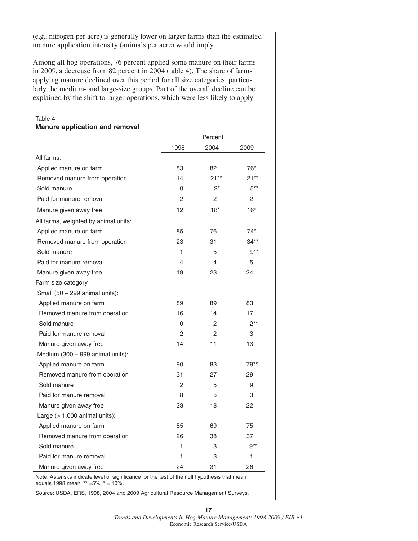(e.g., nitrogen per acre) is generally lower on larger farms than the estimated manure application intensity (animals per acre) would imply.

Among all hog operations, 76 percent applied some manure on their farms in 2009, a decrease from 82 percent in 2004 (table 4). The share of farms applying manure declined over this period for all size categories, particularly the medium- and large-size groups. Part of the overall decline can be explained by the shift to larger operations, which were less likely to apply

Table 4

| <b>Manure application and removal</b> |                |                |        |  |
|---------------------------------------|----------------|----------------|--------|--|
|                                       |                | Percent        |        |  |
|                                       | 1998           | 2004           | 2009   |  |
| All farms:                            |                |                |        |  |
| Applied manure on farm                | 83             | 82             | 76*    |  |
| Removed manure from operation         | 14             | $21**$         | 21**   |  |
| Sold manure                           | 0              | $2^*$          | $5***$ |  |
| Paid for manure removal               | 2              | 2              | 2      |  |
| Manure given away free                | 12             | $18*$          | $16*$  |  |
| All farms, weighted by animal units:  |                |                |        |  |
| Applied manure on farm                | 85             | 76             | $74*$  |  |
| Removed manure from operation         | 23             | 31             | $34**$ |  |
| Sold manure                           | 1              | 5              | $9***$ |  |
| Paid for manure removal               | 4              | 4              | 5      |  |
| Manure given away free                | 19             | 23             | 24     |  |
| Farm size category                    |                |                |        |  |
| Small $(50 - 299$ animal units):      |                |                |        |  |
| Applied manure on farm                | 89             | 89             | 83     |  |
| Removed manure from operation         | 16             | 14             | 17     |  |
| Sold manure                           | 0              | 2              | $2***$ |  |
| Paid for manure removal               | $\mathfrak{p}$ | $\overline{2}$ | 3      |  |
| Manure given away free                | 14             | 11             | 13     |  |
| Medium (300 - 999 animal units):      |                |                |        |  |
| Applied manure on farm                | 90             | 83             | 79**   |  |
| Removed manure from operation         | 31             | 27             | 29     |  |
| Sold manure                           | $\overline{2}$ | 5              | 9      |  |
| Paid for manure removal               | 8              | 5              | 3      |  |
| Manure given away free                | 23             | 18             | 22     |  |
| Large $(>1,000$ animal units):        |                |                |        |  |
| Applied manure on farm                | 85             | 69             | 75     |  |
| Removed manure from operation         | 26             | 38             | 37     |  |
| Sold manure                           | 1              | 3              | $9***$ |  |
| Paid for manure removal               | 1              | 3              | 1      |  |
| Manure given away free                | 24             | 31             | 26     |  |

Note: Asterisks indicate level of significance for the test of the null hypothesis that mean equals 1998 mean: \*\* =5%, \* = 10%.

Source: USDA, ERS, 1998, 2004 and 2009 Agricultural Resource Management Surveys.

*Trends and Developments in Hog Manure Management: 1998-2009 / EIB-81* Economic Research Service/USDA

**17**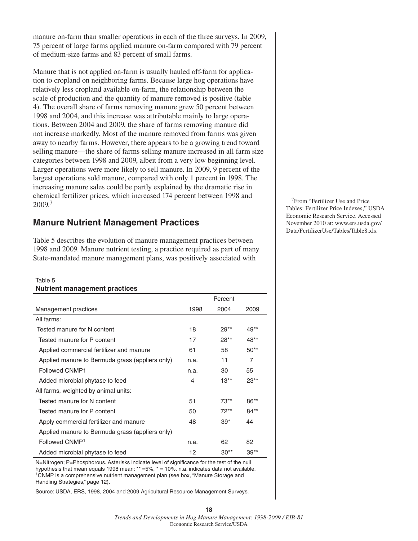manure on-farm than smaller operations in each of the three surveys. In 2009, 75 percent of large farms applied manure on-farm compared with 79 percent of medium-size farms and 83 percent of small farms.

Manure that is not applied on-farm is usually hauled off-farm for application to cropland on neighboring farms. Because large hog operations have relatively less cropland available on-farm, the relationship between the scale of production and the quantity of manure removed is positive (table 4). The overall share of farms removing manure grew 50 percent between 1998 and 2004, and this increase was attributable mainly to large operations. Between 2004 and 2009, the share of farms removing manure did not increase markedly. Most of the manure removed from farms was given away to nearby farms. However, there appears to be a growing trend toward selling manure—the share of farms selling manure increased in all farm size categories between 1998 and 2009, albeit from a very low beginning level. Larger operations were more likely to sell manure. In 2009, 9 percent of the largest operations sold manure, compared with only 1 percent in 1998. The increasing manure sales could be partly explained by the dramatic rise in chemical fertilizer prices, which increased 174 percent between 1998 and 2009<sup>7</sup>

## **Manure Nutrient Management Practices**

Table 5 describes the evolution of manure management practices between 1998 and 2009. Manure nutrient testing, a practice required as part of many State-mandated manure management plans, was positively associated with

#### Table 5 **Nutrient management practices**

|                                                 |      | Percent |        |  |
|-------------------------------------------------|------|---------|--------|--|
| Management practices                            | 1998 | 2004    | 2009   |  |
| All farms:                                      |      |         |        |  |
| Tested manure for N content                     | 18   | $29**$  | 49**   |  |
| Tested manure for P content                     | 17   | $28**$  | 48**   |  |
| Applied commercial fertilizer and manure        | 61   | 58      | $50**$ |  |
| Applied manure to Bermuda grass (appliers only) | n.a. | 11      | 7      |  |
| <b>Followed CNMP1</b>                           | n.a. | 30      | 55     |  |
| Added microbial phytase to feed                 | 4    | $13**$  | $23**$ |  |
| All farms, weighted by animal units:            |      |         |        |  |
| Tested manure for N content                     | 51   | $73**$  | $86**$ |  |
| Tested manure for P content                     | 50   | $72**$  | $84**$ |  |
| Apply commercial fertilizer and manure          | 48   | $39*$   | 44     |  |
| Applied manure to Bermuda grass (appliers only) |      |         |        |  |
| Followed CNMP <sup>1</sup>                      | n.a. | 62      | 82     |  |
| Added microbial phytase to feed                 | 12   | $30**$  | $39**$ |  |

N=Nitrogen; P=Phosphorous. Asterisks indicate level of significance for the test of the null hypothesis that mean equals 1998 mean: \*\* =5%, \* = 10%. n.a. indicates data not available.<br><sup>1</sup>CNMP is a comprehensive nutrient management plan (see box, "Manure Storage and Handling Strategies," page 12).

Source: USDA, ERS, 1998, 2004 and 2009 Agricultural Resource Management Surveys.

7From "Fertilizer Use and Price Tables: Fertilizer Price Indexes," USDA Economic Research Service. Accessed November 2010 at: www.ers.usda.gov/ Data/FertilizerUse/Tables/Table8.xls.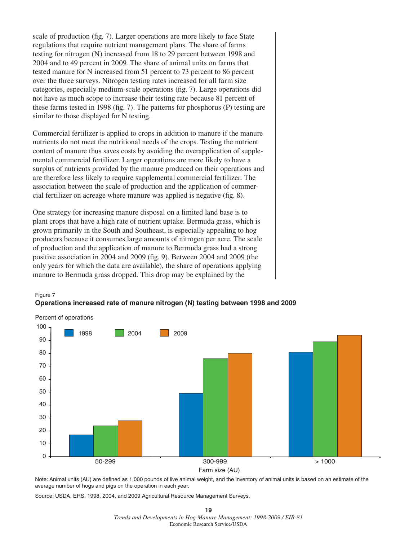scale of production (fig. 7). Larger operations are more likely to face State regulations that require nutrient management plans. The share of farms testing for nitrogen (N) increased from 18 to 29 percent between 1998 and 2004 and to 49 percent in 2009. The share of animal units on farms that tested manure for N increased from 51 percent to 73 percent to 86 percent over the three surveys. Nitrogen testing rates increased for all farm size categories, especially medium-scale operations (fig. 7). Large operations did not have as much scope to increase their testing rate because 81 percent of these farms tested in 1998 (fig. 7). The patterns for phosphorus (P) testing are similar to those displayed for N testing.

Commercial fertilizer is applied to crops in addition to manure if the manure nutrients do not meet the nutritional needs of the crops. Testing the nutrient content of manure thus saves costs by avoiding the overapplication of supplemental commercial fertilizer. Larger operations are more likely to have a surplus of nutrients provided by the manure produced on their operations and are therefore less likely to require supplemental commercial fertilizer. The association between the scale of production and the application of commercial fertilizer on acreage where manure was applied is negative (fig. 8).

One strategy for increasing manure disposal on a limited land base is to plant crops that have a high rate of nutrient uptake. Bermuda grass, which is grown primarily in the South and Southeast, is especially appealing to hog producers because it consumes large amounts of nitrogen per acre. The scale of production and the application of manure to Bermuda grass had a strong positive association in 2004 and 2009 (fig. 9). Between 2004 and 2009 (the only years for which the data are available), the share of operations applying manure to Bermuda grass dropped. This drop may be explained by the



#### Figure 7 **Operations increased rate of manure nitrogen (N) testing between 1998 and 2009**

Note: Animal units (AU) are defined as 1,000 pounds of live animal weight, and the inventory of animal units is based on an estimate of the average number of hogs and pigs on the operation in each year.

Source: USDA, ERS, 1998, 2004, and 2009 Agricultural Resource Management Surveys.

#### **19** *Trends and Developments in Hog Manure Management: 1998-2009 / EIB-81* Economic Research Service/USDA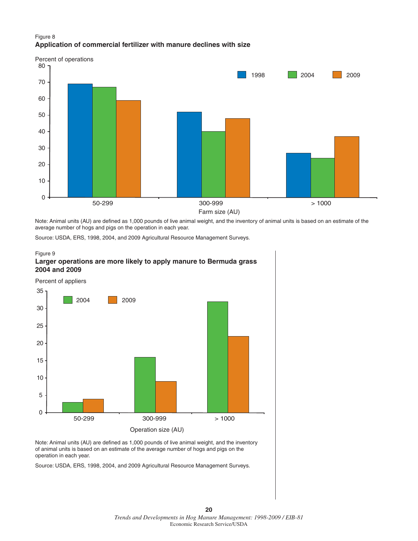#### Figure 8 **Application of commercial fertilizer with manure declines with size**



Note: Animal units (AU) are defined as 1,000 pounds of live animal weight, and the inventory of animal units is based on an estimate of the average number of hogs and pigs on the operation in each year.

Source: USDA, ERS, 1998, 2004, and 2009 Agricultural Resource Management Surveys.

#### Figure 9 **Larger operations are more likely to apply manure to Bermuda grass 2004 and 2009**



Note: Animal units (AU) are defined as 1,000 pounds of live animal weight, and the inventory of animal units is based on an estimate of the average number of hogs and pigs on the operation in each year.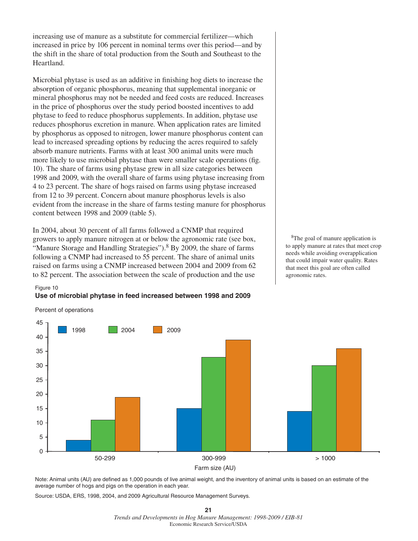increasing use of manure as a substitute for commercial fertilizer—which increased in price by 106 percent in nominal terms over this period—and by the shift in the share of total production from the South and Southeast to the Heartland.

Microbial phytase is used as an additive in finishing hog diets to increase the absorption of organic phosphorus, meaning that supplemental inorganic or mineral phosphorus may not be needed and feed costs are reduced. Increases in the price of phosphorus over the study period boosted incentives to add phytase to feed to reduce phosphorus supplements. In addition, phytase use reduces phosphorus excretion in manure. When application rates are limited by phosphorus as opposed to nitrogen, lower manure phosphorus content can lead to increased spreading options by reducing the acres required to safely absorb manure nutrients. Farms with at least 300 animal units were much more likely to use microbial phytase than were smaller scale operations (fig. 10). The share of farms using phytase grew in all size categories between 1998 and 2009, with the overall share of farms using phytase increasing from 4 to 23 percent. The share of hogs raised on farms using phytase increased from 12 to 39 percent. Concern about manure phosphorus levels is also evident from the increase in the share of farms testing manure for phosphorus content between 1998 and 2009 (table 5).

In 2004, about 30 percent of all farms followed a CNMP that required growers to apply manure nitrogen at or below the agronomic rate (see box, "Manure Storage and Handling Strategies").<sup>8</sup> By 2009, the share of farms following a CNMP had increased to 55 percent. The share of animal units raised on farms using a CNMP increased between 2004 and 2009 from 62 to 82 percent. The association between the scale of production and the use

8The goal of manure application is to apply manure at rates that meet crop needs while avoiding overapplication that could impair water quality. Rates that meet this goal are often called agronomic rates.

#### Figure 10

**Use of microbial phytase in feed increased between 1998 and 2009**



Note: Animal units (AU) are defined as 1,000 pounds of live animal weight, and the inventory of animal units is based on an estimate of the average number of hogs and pigs on the operation in each year.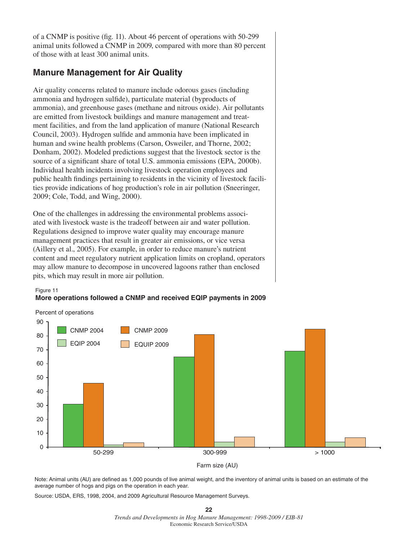of a CNMP is positive (fig. 11). About 46 percent of operations with 50-299 animal units followed a CNMP in 2009, compared with more than 80 percent of those with at least 300 animal units.

## **Manure Management for Air Quality**

Air quality concerns related to manure include odorous gases (including ammonia and hydrogen sulfide), particulate material (byproducts of ammonia), and greenhouse gases (methane and nitrous oxide). Air pollutants are emitted from livestock buildings and manure management and treatment facilities, and from the land application of manure (National Research Council, 2003). Hydrogen sulfide and ammonia have been implicated in human and swine health problems (Carson, Osweiler, and Thorne, 2002; Donham, 2002). Modeled predictions suggest that the livestock sector is the source of a significant share of total U.S. ammonia emissions (EPA, 2000b). Individual health incidents involving livestock operation employees and public health findings pertaining to residents in the vicinity of livestock facilities provide indications of hog production's role in air pollution (Sneeringer, 2009; Cole, Todd, and Wing, 2000).

One of the challenges in addressing the environmental problems associated with livestock waste is the tradeoff between air and water pollution. Regulations designed to improve water quality may encourage manure management practices that result in greater air emissions, or vice versa (Aillery et al., 2005). For example, in order to reduce manure's nutrient content and meet regulatory nutrient application limits on cropland, operators may allow manure to decompose in uncovered lagoons rather than enclosed pits, which may result in more air pollution.

Figure 11

#### **More operations followed a CNMP and received EQIP payments in 2009**



Farm size (AU)

Note: Animal units (AU) are defined as 1,000 pounds of live animal weight, and the inventory of animal units is based on an estimate of the average number of hogs and pigs on the operation in each year.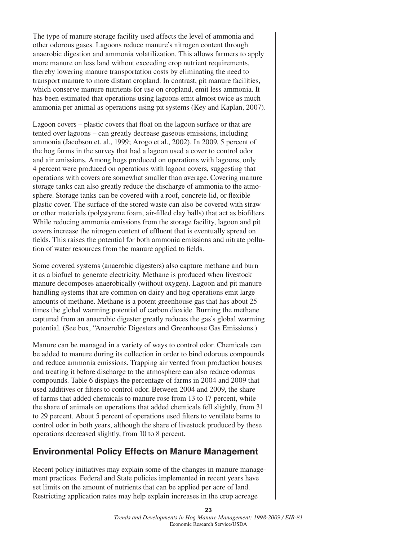The type of manure storage facility used affects the level of ammonia and other odorous gases. Lagoons reduce manure's nitrogen content through anaerobic digestion and ammonia volatilization. This allows farmers to apply more manure on less land without exceeding crop nutrient requirements, thereby lowering manure transportation costs by eliminating the need to transport manure to more distant cropland. In contrast, pit manure facilities, which conserve manure nutrients for use on cropland, emit less ammonia. It has been estimated that operations using lagoons emit almost twice as much ammonia per animal as operations using pit systems (Key and Kaplan, 2007).

Lagoon covers – plastic covers that float on the lagoon surface or that are tented over lagoons – can greatly decrease gaseous emissions, including ammonia (Jacobson et. al., 1999; Arogo et al., 2002). In 2009, 5 percent of the hog farms in the survey that had a lagoon used a cover to control odor and air emissions. Among hogs produced on operations with lagoons, only 4 percent were produced on operations with lagoon covers, suggesting that operations with covers are somewhat smaller than average. Covering manure storage tanks can also greatly reduce the discharge of ammonia to the atmosphere. Storage tanks can be covered with a roof, concrete lid, or flexible plastic cover. The surface of the stored waste can also be covered with straw or other materials (polystyrene foam, air-filled clay balls) that act as biofilters. While reducing ammonia emissions from the storage facility, lagoon and pit covers increase the nitrogen content of effluent that is eventually spread on fields. This raises the potential for both ammonia emissions and nitrate pollution of water resources from the manure applied to fields.

Some covered systems (anaerobic digesters) also capture methane and burn it as a biofuel to generate electricity. Methane is produced when livestock manure decomposes anaerobically (without oxygen). Lagoon and pit manure handling systems that are common on dairy and hog operations emit large amounts of methane. Methane is a potent greenhouse gas that has about 25 times the global warming potential of carbon dioxide. Burning the methane captured from an anaerobic digester greatly reduces the gas's global warming potential. (See box, "Anaerobic Digesters and Greenhouse Gas Emissions.)

Manure can be managed in a variety of ways to control odor. Chemicals can be added to manure during its collection in order to bind odorous compounds and reduce ammonia emissions. Trapping air vented from production houses and treating it before discharge to the atmosphere can also reduce odorous compounds. Table 6 displays the percentage of farms in 2004 and 2009 that used additives or filters to control odor. Between 2004 and 2009, the share of farms that added chemicals to manure rose from 13 to 17 percent, while the share of animals on operations that added chemicals fell slightly, from 31 to 29 percent. About 5 percent of operations used filters to ventilate barns to control odor in both years, although the share of livestock produced by these operations decreased slightly, from 10 to 8 percent.

## **Environmental Policy Effects on Manure Management**

Recent policy initiatives may explain some of the changes in manure management practices. Federal and State policies implemented in recent years have set limits on the amount of nutrients that can be applied per acre of land. Restricting application rates may help explain increases in the crop acreage

**23**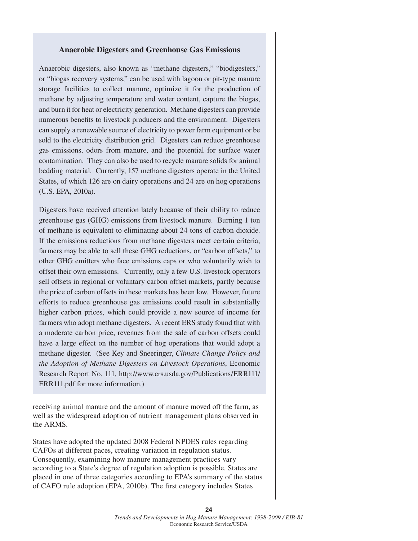#### **Anaerobic Digesters and Greenhouse Gas Emissions**

Anaerobic digesters, also known as "methane digesters," "biodigesters," or "biogas recovery systems," can be used with lagoon or pit-type manure storage facilities to collect manure, optimize it for the production of methane by adjusting temperature and water content, capture the biogas, and burn it for heat or electricity generation. Methane digesters can provide numerous benefits to livestock producers and the environment. Digesters can supply a renewable source of electricity to power farm equipment or be sold to the electricity distribution grid. Digesters can reduce greenhouse gas emissions, odors from manure, and the potential for surface water contamination. They can also be used to recycle manure solids for animal bedding material. Currently, 157 methane digesters operate in the United States, of which 126 are on dairy operations and 24 are on hog operations (U.S. EPA, 2010a).

Digesters have received attention lately because of their ability to reduce greenhouse gas (GHG) emissions from livestock manure. Burning 1 ton of methane is equivalent to eliminating about 24 tons of carbon dioxide. If the emissions reductions from methane digesters meet certain criteria, farmers may be able to sell these GHG reductions, or "carbon offsets," to other GHG emitters who face emissions caps or who voluntarily wish to offset their own emissions. Currently, only a few U.S. livestock operators sell offsets in regional or voluntary carbon offset markets, partly because the price of carbon offsets in these markets has been low. However, future efforts to reduce greenhouse gas emissions could result in substantially higher carbon prices, which could provide a new source of income for farmers who adopt methane digesters. A recent ERS study found that with a moderate carbon price, revenues from the sale of carbon offsets could have a large effect on the number of hog operations that would adopt a methane digester. (See Key and Sneeringer, *Climate Change Policy and the Adoption of Methane Digesters on Livestock Operations*, Economic Research Report No. 111, http://www.ers.usda.gov/Publications/ERR111/ ERR111.pdf for more information.)

receiving animal manure and the amount of manure moved off the farm, as well as the widespread adoption of nutrient management plans observed in the ARMS.

States have adopted the updated 2008 Federal NPDES rules regarding CAFOs at different paces, creating variation in regulation status. Consequently, examining how manure management practices vary according to a State's degree of regulation adoption is possible. States are placed in one of three categories according to EPA's summary of the status of CAFO rule adoption (EPA, 2010b). The first category includes States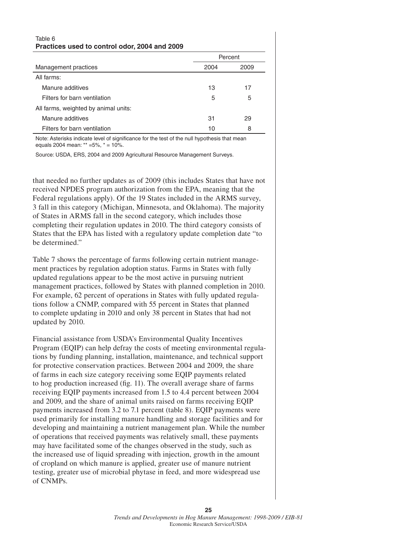#### Table 6 **Practices used to control odor, 2004 and 2009**

|                                      | Percent |      |  |
|--------------------------------------|---------|------|--|
| Management practices                 | 2004    | 2009 |  |
| All farms:                           |         |      |  |
| Manure additives                     | 13      | 17   |  |
| Filters for barn ventilation         | 5       | 5    |  |
| All farms, weighted by animal units: |         |      |  |
| Manure additives                     | 31      | 29   |  |
| Filters for barn ventilation         | 10      | 8    |  |

Note: Asterisks indicate level of significance for the test of the null hypothesis that mean equals 2004 mean: \*\* =5%, \* = 10%.

Source: USDA, ERS, 2004 and 2009 Agricultural Resource Management Surveys.

that needed no further updates as of 2009 (this includes States that have not received NPDES program authorization from the EPA, meaning that the Federal regulations apply). Of the 19 States included in the ARMS survey, 3 fall in this category (Michigan, Minnesota, and Oklahoma). The majority of States in ARMS fall in the second category, which includes those completing their regulation updates in 2010. The third category consists of States that the EPA has listed with a regulatory update completion date "to be determined."

Table 7 shows the percentage of farms following certain nutrient management practices by regulation adoption status. Farms in States with fully updated regulations appear to be the most active in pursuing nutrient management practices, followed by States with planned completion in 2010. For example, 62 percent of operations in States with fully updated regulations follow a CNMP, compared with 55 percent in States that planned to complete updating in 2010 and only 38 percent in States that had not updated by 2010.

Financial assistance from USDA's Environmental Quality Incentives Program (EQIP) can help defray the costs of meeting environmental regulations by funding planning, installation, maintenance, and technical support for protective conservation practices. Between 2004 and 2009, the share of farms in each size category receiving some EQIP payments related to hog production increased (fig. 11). The overall average share of farms receiving EQIP payments increased from 1.5 to 4.4 percent between 2004 and 2009, and the share of animal units raised on farms receiving EQIP payments increased from 3.2 to 7.1 percent (table 8). EQIP payments were used primarily for installing manure handling and storage facilities and for developing and maintaining a nutrient management plan. While the number of operations that received payments was relatively small, these payments may have facilitated some of the changes observed in the study, such as the increased use of liquid spreading with injection, growth in the amount of cropland on which manure is applied, greater use of manure nutrient testing, greater use of microbial phytase in feed, and more widespread use of CNMPs.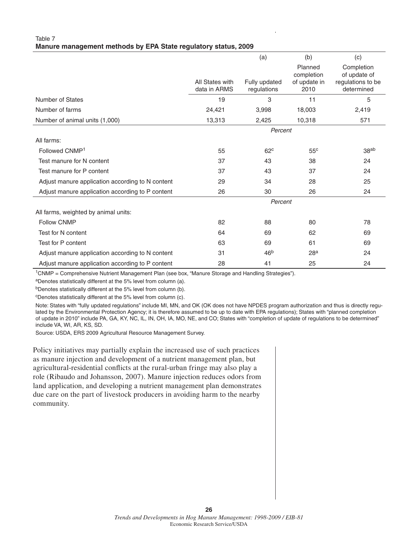#### Table 7 **Manure management methods by EPA State regulatory status, 2009**

|                                                  |                                 | (a)                          | (b)                   | (c)                             |
|--------------------------------------------------|---------------------------------|------------------------------|-----------------------|---------------------------------|
|                                                  |                                 |                              | Planned<br>completion | Completion<br>of update of      |
|                                                  | All States with<br>data in ARMS | Fully updated<br>regulations | of update in<br>2010  | regulations to be<br>determined |
| Number of States                                 | 19                              | 3                            | 11                    | 5                               |
| Number of farms                                  | 24,421                          | 3,998                        | 18,003                | 2,419                           |
| Number of animal units (1,000)                   | 13,313                          | 2,425                        | 10,318                | 571                             |
|                                                  | Percent                         |                              |                       |                                 |
| All farms:                                       |                                 |                              |                       |                                 |
| Followed CNMP <sup>1</sup>                       | 55                              | 62 <sup>c</sup>              | 55 <sup>c</sup>       | 38 <sup>ab</sup>                |
| Test manure for N content                        | 37                              | 43                           | 38                    | 24                              |
| Test manure for P content                        | 37                              | 43                           | 37                    | 24                              |
| Adjust manure application according to N content | 29                              | 34                           | 28                    | 25                              |
| Adjust manure application according to P content | 26                              | 30                           | 26                    | 24                              |
|                                                  |                                 | Percent                      |                       |                                 |
| All farms, weighted by animal units:             |                                 |                              |                       |                                 |
| <b>Follow CNMP</b>                               | 82                              | 88                           | 80                    | 78                              |
| Test for N content                               | 64                              | 69                           | 62                    | 69                              |
| Test for P content                               | 63                              | 69                           | 61                    | 69                              |
| Adjust manure application according to N content | 31                              | 46 <sup>b</sup>              | 28 <sup>a</sup>       | 24                              |
| Adjust manure application according to P content | 28                              | 41                           | 25                    | 24                              |

1CNMP = Comprehensive Nutrient Management Plan (see box, "Manure Storage and Handling Strategies").

aDenotes statistically different at the 5% level from column (a).

bDenotes statistically different at the 5% level from column (b).

cDenotes statistically different at the 5% level from column (c).

Note: States with "fully updated regulations" include MI, MN, and OK (OK does not have NPDES program authorization and thus is directly regulated by the Environmental Protection Agency; it is therefore assumed to be up to date with EPA regulations); States with "planned completion of update in 2010" include PA, GA, KY, NC, IL, IN, OH, IA, MO, NE, and CO; States with "completion of update of regulations to be determined" include VA, WI, AR, KS, SD.

Source: USDA, ERS 2009 Agricultural Resource Management Survey.

Policy initiatives may partially explain the increased use of such practices as manure injection and development of a nutrient management plan, but agricultural-residential conflicts at the rural-urban fringe may also play a role (Ribaudo and Johansson, 2007). Manure injection reduces odors from land application, and developing a nutrient management plan demonstrates due care on the part of livestock producers in avoiding harm to the nearby community.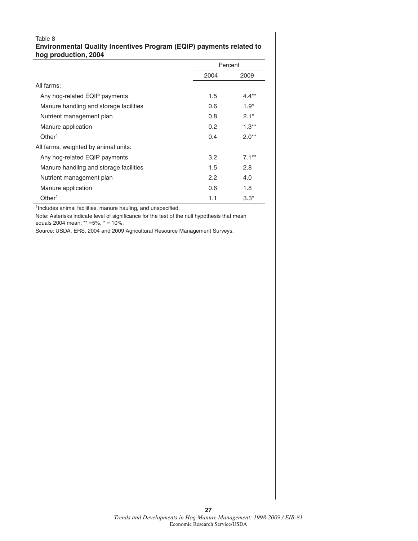#### Table 8 **Environmental Quality Incentives Program (EQIP) payments related to hog production, 2004**

|                                        | Percent |          |  |
|----------------------------------------|---------|----------|--|
|                                        | 2004    | 2009     |  |
| All farms:                             |         |          |  |
| Any hog-related EQIP payments          | 1.5     | $4.4***$ |  |
| Manure handling and storage facilities | 0.6     | $1.9*$   |  |
| Nutrient management plan               | 0.8     | $2.1*$   |  |
| Manure application                     | 0.2     | $1.3**$  |  |
| Other <sup>1</sup>                     | 0.4     | $2.0**$  |  |
| All farms, weighted by animal units:   |         |          |  |
| Any hog-related EQIP payments          | 3.2     | $7.1**$  |  |
| Manure handling and storage facilities | 1.5     | 2.8      |  |
| Nutrient management plan               | 2.2     | 4.0      |  |
| Manure application                     | 0.6     | 1.8      |  |
| Other <sup>1</sup>                     | 1.1     | $3.3*$   |  |

 $1$ Includes animal facilities, manure hauling, and unspecified.

Note: Asterisks indicate level of significance for the test of the null hypothesis that mean equals 2004 mean: \*\* =5%, \* = 10%.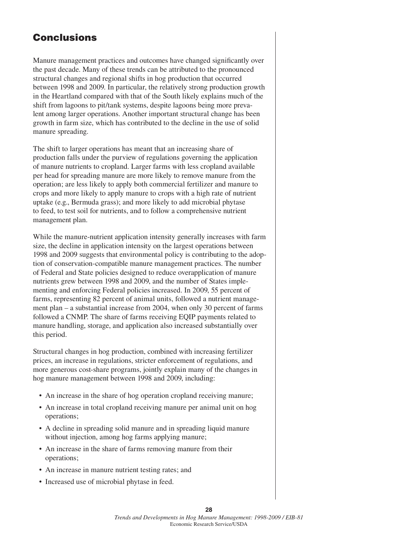# **Conclusions**

Manure management practices and outcomes have changed significantly over the past decade. Many of these trends can be attributed to the pronounced structural changes and regional shifts in hog production that occurred between 1998 and 2009. In particular, the relatively strong production growth in the Heartland compared with that of the South likely explains much of the shift from lagoons to pit/tank systems, despite lagoons being more prevalent among larger operations. Another important structural change has been growth in farm size, which has contributed to the decline in the use of solid manure spreading.

The shift to larger operations has meant that an increasing share of production falls under the purview of regulations governing the application of manure nutrients to cropland. Larger farms with less cropland available per head for spreading manure are more likely to remove manure from the operation; are less likely to apply both commercial fertilizer and manure to crops and more likely to apply manure to crops with a high rate of nutrient uptake (e.g., Bermuda grass); and more likely to add microbial phytase to feed, to test soil for nutrients, and to follow a comprehensive nutrient management plan.

While the manure-nutrient application intensity generally increases with farm size, the decline in application intensity on the largest operations between 1998 and 2009 suggests that environmental policy is contributing to the adoption of conservation-compatible manure management practices. The number of Federal and State policies designed to reduce overapplication of manure nutrients grew between 1998 and 2009, and the number of States implementing and enforcing Federal policies increased. In 2009, 55 percent of farms, representing 82 percent of animal units, followed a nutrient management plan – a substantial increase from 2004, when only 30 percent of farms followed a CNMP. The share of farms receiving EQIP payments related to manure handling, storage, and application also increased substantially over this period.

Structural changes in hog production, combined with increasing fertilizer prices, an increase in regulations, stricter enforcement of regulations, and more generous cost-share programs, jointly explain many of the changes in hog manure management between 1998 and 2009, including:

- An increase in the share of hog operation cropland receiving manure;
- An increase in total cropland receiving manure per animal unit on hog operations;
- A decline in spreading solid manure and in spreading liquid manure without injection, among hog farms applying manure;
- An increase in the share of farms removing manure from their operations;
- An increase in manure nutrient testing rates; and
- Increased use of microbial phytase in feed.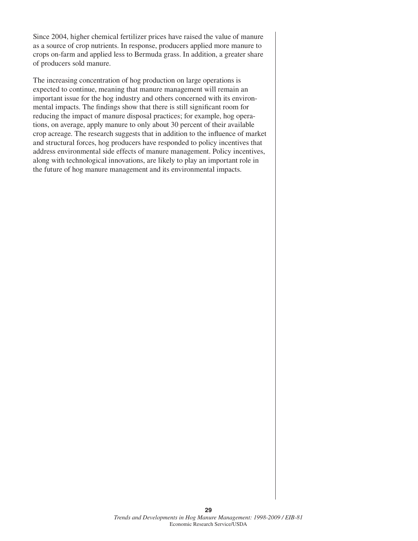Since 2004, higher chemical fertilizer prices have raised the value of manure as a source of crop nutrients. In response, producers applied more manure to crops on-farm and applied less to Bermuda grass. In addition, a greater share of producers sold manure.

The increasing concentration of hog production on large operations is expected to continue, meaning that manure management will remain an important issue for the hog industry and others concerned with its environmental impacts. The findings show that there is still significant room for reducing the impact of manure disposal practices; for example, hog operations, on average, apply manure to only about 30 percent of their available crop acreage. The research suggests that in addition to the influence of market and structural forces, hog producers have responded to policy incentives that address environmental side effects of manure management. Policy incentives, along with technological innovations, are likely to play an important role in the future of hog manure management and its environmental impacts.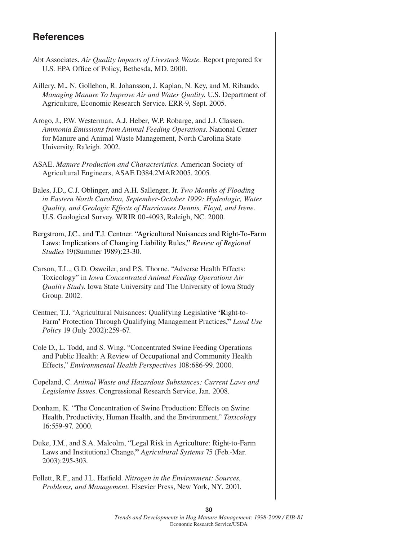## **References**

- Abt Associates. *Air Quality Impacts of Livestock Waste.* Report prepared for U.S. EPA Office of Policy, Bethesda, MD. 2000.
- Aillery, M., N. Gollehon, R. Johansson, J. Kaplan, N. Key, and M. Ribaudo. *Managing Manure To Improve Air and Water Quality.* U.S. Department of Agriculture, Economic Research Service. ERR-9, Sept. 2005.
- Arogo, J., P.W. Westerman, A.J. Heber, W.P. Robarge, and J.J. Classen. *Ammonia Emissions from Animal Feeding Operations*. National Center for Manure and Animal Waste Management, North Carolina State University, Raleigh. 2002.
- ASAE. *Manure Production and Characteristics*. American Society of Agricultural Engineers, ASAE D384.2MAR2005. 2005.
- Bales, J.D., C.J. Oblinger, and A.H. Sallenger, Jr. *Two Months of Flooding in Eastern North Carolina, September-October 1999: Hydrologic, Water Quality, and Geologic Effects of Hurricanes Dennis, Floyd, and Irene.* U.S. Geological Survey. WRIR 00-4093, Raleigh, NC. 2000*.*
- Bergstrom, J.C., and T.J. Centner. "Agricultural Nuisances and Right-To-Farm Laws: Implications of Changing Liability Rules,**"** *Review of Regional Studies* 19(Summer 1989):23-30.
- Carson, T.L., G.D. Osweiler, and P.S. Thorne. "Adverse Health Effects: Toxicology" in *Iowa Concentrated Animal Feeding Operations Air Quality Study*. Iowa State University and The University of Iowa Study Group. 2002.
- Centner, T.J. "Agricultural Nuisances: Qualifying Legislative **'R**ight-to-Farm**'** Protection Through Qualifying Management Practices,**"** *Land Use Policy* 19 (July 2002):259-67.
- Cole D., L. Todd, and S. Wing. "Concentrated Swine Feeding Operations and Public Health: A Review of Occupational and Community Health Effects," *Environmental Health Perspectives* 108:686-99. 2000.
- Copeland, C. *Animal Waste and Hazardous Substances: Current Laws and Legislative Issues*. Congressional Research Service, Jan. 2008.
- Donham, K. "The Concentration of Swine Production: Effects on Swine Health, Productivity, Human Health, and the Environment," *Toxicology* 16:559-97. 2000.
- Duke, J.M., and S.A. Malcolm, "Legal Risk in Agriculture: Right-to-Farm Laws and Institutional Change,**"** *Agricultural Systems* 75 (Feb.-Mar. 2003):295-303.
- Follett, R.F., and J.L. Hatfield. *Nitrogen in the Environment: Sources*, *Problems, and Management.* Elsevier Press, New York, NY. 2001.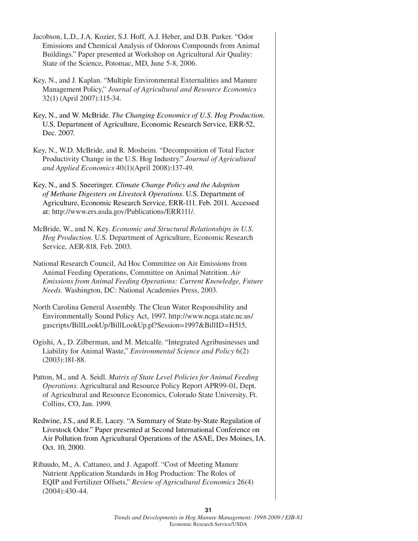Jacobson, L.D., J.A. Kozier, S.J. Hoff, A.J. Heber, and D.B. Parker. "Odor Emissions and Chemical Analysis of Odorous Compounds from Animal Buildings." Paper presented at Workshop on Agricultural Air Quality: State of the Science, Potomac, MD, June 5-8, 2006. Key, N., and J. Kaplan. "Multiple Environmental Externalities and Manure Management Policy," *Journal of Agricultural and Resource Economics* 32(1) (April 2007):115-34. Key, N., and W. McBride. *The Changing Economics of U.S. Hog Production*. U.S. Department of Agriculture, Economic Research Service, ERR-52, Dec. 2007. Key, N., W.D. McBride, and R. Mosheim. "Decomposition of Total Factor Productivity Change in the U.S. Hog Industry." *Journal of Agricultural and Applied Economics* 40(1)(April 2008):137-49. Key, N., and S. Sneeringer. *Climate Change Policy and the Adoption of Methane Digesters on Livestock Operations*. U.S. Department of Agriculture, Economic Research Service, ERR-111. Feb. 2011. Accessed at: http://www.ers.usda.gov/Publications/ERR111/. McBride, W., and N. Key. *Economic and Structural Relationships in U.S. Hog Production*. U.S. Department of Agriculture, Economic Research Service, AER-818*,* Feb. 2003. National Research Council, Ad Hoc Committee on Air Emissions from Animal Feeding Operations, Committee on Animal Nutrition. *Air Emissions from Animal Feeding Operations: Current Knowledge, Future Needs.* Washington, DC: National Academies Press, 2003. North Carolina General Assembly. The Clean Water Responsibility and Environmentally Sound Policy Act, 1997. http://www.ncga.state.nc.us/ gascripts/BillLookUp/BillLookUp.pl?Session=1997&BillID=H515, Ogishi, A., D. Zilberman, and M. Metcalfe. "Integrated Agribusinesses and Liability for Animal Waste," *Environmental Science and Policy* 6(2) (2003):181-88. Patton, M., and A. Seidl. *Matrix of State Level Policies for Animal Feeding Operations*. Agricultural and Resource Policy Report APR99-01, Dept. of Agricultural and Resource Economics, Colorado State University, Ft. Collins, CO, Jan. 1999. Redwine, J.S., and R.E. Lacey. "A Summary of State-by-State Regulation of Livestock Odor." Paper presented at Second International Conference on Air Pollution from Agricultural Operations of the ASAE, Des Moines, IA. Oct. 10, 2000. Ribaudo, M., A. Cattaneo, and J. Agapoff. "Cost of Meeting Manure Nutrient Application Standards in Hog Production: The Roles of EQIP and Fertilizer Offsets," *Review of Agricultural Economics* 26(4)

(2004):430-44.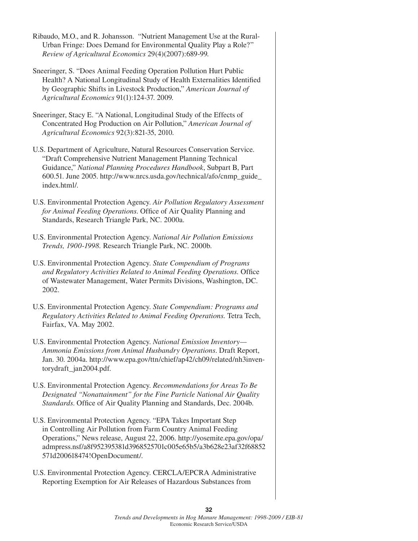- Ribaudo, M.O., and R. Johansson. "Nutrient Management Use at the Rural-Urban Fringe: Does Demand for Environmental Quality Play a Role?" *Review of Agricultural Economics* 29(4)(2007):689-99.
- Sneeringer, S. "Does Animal Feeding Operation Pollution Hurt Public Health? A National Longitudinal Study of Health Externalities Identified by Geographic Shifts in Livestock Production," *American Journal of Agricultural Economics* 91(1):124-37. 2009.
- Sneeringer, Stacy E. "A National, Longitudinal Study of the Effects of Concentrated Hog Production on Air Pollution," *American Journal of Agricultural Economics* 92(3):821-35, 2010.
- U.S. Department of Agriculture, Natural Resources Conservation Service. "Draft Comprehensive Nutrient Management Planning Technical Guidance," *National Planning Procedures Handbook*, Subpart B, Part 600.51. June 2005. http://www.nrcs.usda.gov/technical/afo/cnmp\_guide\_ index.html/.
- U.S. Environmental Protection Agency. *Air Pollution Regulatory Assessment for Animal Feeding Operations*. Office of Air Quality Planning and Standards, Research Triangle Park, NC. 2000a.
- U.S. Environmental Protection Agency. *National Air Pollution Emissions Trends, 1900-1998.* Research Triangle Park, NC. 2000b.
- U.S. Environmental Protection Agency. *State Compendium of Programs and Regulatory Activities Related to Animal Feeding Operations. Office* of Wastewater Management, Water Permits Divisions, Washington, DC. 2002.
- U.S. Environmental Protection Agency. *State Compendium: Programs and Regulatory Activities Related to Animal Feeding Operations.* Tetra Tech, Fairfax, VA. May 2002.
- U.S. Environmental Protection Agency. *National Emission Inventory— Ammonia Emissions from Animal Husbandry Operations*. Draft Report, Jan. 30. 2004a. http://www.epa.gov/ttn/chief/ap42/ch09/related/nh3inventorydraft\_jan2004.pdf.
- U.S. Environmental Protection Agency. *Recommendations for Areas To Be Designated "Nonattainment" for the Fine Particle National Air Quality Standards*. Office of Air Quality Planning and Standards, Dec. 2004b.
- U.S. Environmental Protection Agency. "EPA Takes Important Step in Controlling Air Pollution from Farm Country Animal Feeding Operations," News release, August 22, 2006. http://yosemite.epa.gov/opa/ admpress.nsf/a8f952395381d3968525701c005e65b5/a3b628e23af32f68852 571d200618474!OpenDocument/.
- U.S. Environmental Protection Agency. CERCLA/EPCRA Administrative Reporting Exemption for Air Releases of Hazardous Substances from